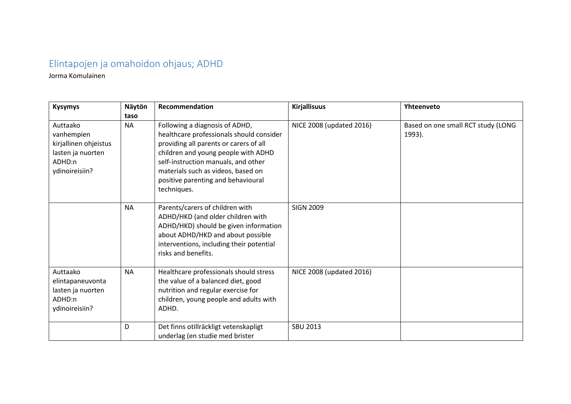## Elintapojen ja omahoidon ohjaus; ADHD

Jorma Komulainen

| <b>Kysymys</b>                                                                                   | Näytön<br>taso | Recommendation                                                                                                                                                                                                                                                                                | <b>Kirjallisuus</b>      | Yhteenveto                                   |
|--------------------------------------------------------------------------------------------------|----------------|-----------------------------------------------------------------------------------------------------------------------------------------------------------------------------------------------------------------------------------------------------------------------------------------------|--------------------------|----------------------------------------------|
| Auttaako<br>vanhempien<br>kirjallinen ohjeistus<br>lasten ja nuorten<br>ADHD:n<br>ydinoireisiin? | <b>NA</b>      | Following a diagnosis of ADHD,<br>healthcare professionals should consider<br>providing all parents or carers of all<br>children and young people with ADHD<br>self-instruction manuals, and other<br>materials such as videos, based on<br>positive parenting and behavioural<br>techniques. | NICE 2008 (updated 2016) | Based on one small RCT study (LONG<br>1993). |
|                                                                                                  | <b>NA</b>      | Parents/carers of children with<br>ADHD/HKD (and older children with<br>ADHD/HKD) should be given information<br>about ADHD/HKD and about possible<br>interventions, including their potential<br>risks and benefits.                                                                         | <b>SIGN 2009</b>         |                                              |
| Auttaako<br>elintapaneuvonta<br>lasten ja nuorten<br>ADHD:n<br>ydinoireisiin?                    | <b>NA</b>      | Healthcare professionals should stress<br>the value of a balanced diet, good<br>nutrition and regular exercise for<br>children, young people and adults with<br>ADHD.                                                                                                                         | NICE 2008 (updated 2016) |                                              |
|                                                                                                  | D              | Det finns otillräckligt vetenskapligt<br>underlag (en studie med brister                                                                                                                                                                                                                      | <b>SBU 2013</b>          |                                              |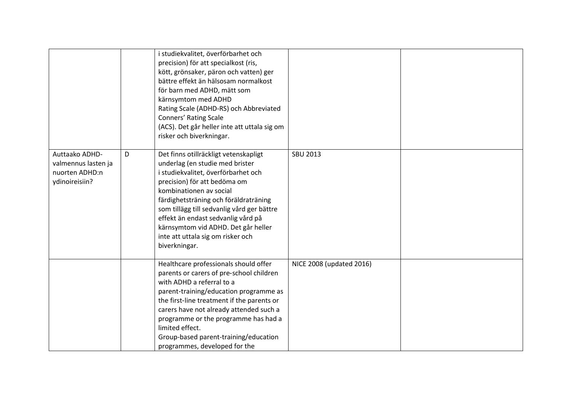|                                                                           |   | i studiekvalitet, överförbarhet och<br>precision) för att specialkost (ris,<br>kött, grönsaker, päron och vatten) ger<br>bättre effekt än hälsosam normalkost<br>för barn med ADHD, mätt som<br>kärnsymtom med ADHD<br>Rating Scale (ADHD-RS) och Abbreviated<br><b>Conners' Rating Scale</b><br>(ACS). Det går heller inte att uttala sig om<br>risker och biverkningar.                            |                          |  |
|---------------------------------------------------------------------------|---|------------------------------------------------------------------------------------------------------------------------------------------------------------------------------------------------------------------------------------------------------------------------------------------------------------------------------------------------------------------------------------------------------|--------------------------|--|
| Auttaako ADHD-<br>valmennus lasten ja<br>nuorten ADHD:n<br>ydinoireisiin? | D | Det finns otillräckligt vetenskapligt<br>underlag (en studie med brister<br>i studiekvalitet, överförbarhet och<br>precision) för att bedöma om<br>kombinationen av social<br>färdighetsträning och föräldraträning<br>som tillägg till sedvanlig vård ger bättre<br>effekt än endast sedvanlig vård på<br>kärnsymtom vid ADHD. Det går heller<br>inte att uttala sig om risker och<br>biverkningar. | <b>SBU 2013</b>          |  |
|                                                                           |   | Healthcare professionals should offer<br>parents or carers of pre-school children<br>with ADHD a referral to a<br>parent-training/education programme as<br>the first-line treatment if the parents or<br>carers have not already attended such a<br>programme or the programme has had a<br>limited effect.<br>Group-based parent-training/education<br>programmes, developed for the               | NICE 2008 (updated 2016) |  |